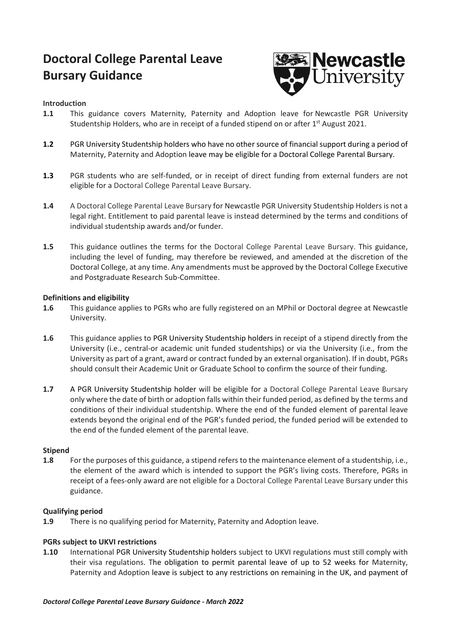# **Doctoral College Parental Leave Bursary Guidance**



# **Introduction**

- **1.1** This guidance covers Maternity, Paternity and Adoption leave for Newcastle PGR University Studentship Holders, who are in receipt of a funded stipend on or after 1<sup>st</sup> August 2021.
- **1.2** PGR University Studentship holders who have no other source of financial support during a period of Maternity, Paternity and Adoption leave may be eligible for a Doctoral College Parental Bursary.
- **1.3** PGR students who are self-funded, or in receipt of direct funding from external funders are not eligible for a Doctoral College Parental Leave Bursary.
- **1.4** A Doctoral College Parental Leave Bursary for Newcastle PGR University Studentship Holders is not a legal right. Entitlement to paid parental leave is instead determined by the terms and conditions of individual studentship awards and/or funder.
- **1.5** This guidance outlines the terms for the Doctoral College Parental Leave Bursary. This guidance, including the level of funding, may therefore be reviewed, and amended at the discretion of the Doctoral College, at any time. Any amendments must be approved by the Doctoral College Executive and Postgraduate Research Sub-Committee.

## **Definitions and eligibility**

- **1.6** This guidance applies to PGRs who are fully registered on an MPhil or Doctoral degree at Newcastle University.
- **1.6** This guidance applies to PGR University Studentship holders in receipt of a stipend directly from the University (i.e., central-or academic unit funded studentships) or via the University (i.e., from the University as part of a grant, award or contract funded by an external organisation). If in doubt, PGRs should consult their Academic Unit or Graduate School to confirm the source of their funding.
- **1.7** A PGR University Studentship holder will be eligible for a Doctoral College Parental Leave Bursary only where the date of birth or adoption falls within their funded period, as defined by the terms and conditions of their individual studentship. Where the end of the funded element of parental leave extends beyond the original end of the PGR's funded period, the funded period will be extended to the end of the funded element of the parental leave.

#### **Stipend**

**1.8** For the purposes of this guidance, a stipend refers to the maintenance element of a studentship, i.e., the element of the award which is intended to support the PGR's living costs. Therefore, PGRs in receipt of a fees-only award are not eligible for a Doctoral College Parental Leave Bursary under this guidance.

## **Qualifying period**

**1.9** There is no qualifying period for Maternity, Paternity and Adoption leave.

## **PGRs subject to UKVI restrictions**

**1.10** International PGR University Studentship holders subject to UKVI regulations must still comply with their visa regulations. The obligation to permit parental leave of up to 52 weeks for Maternity, Paternity and Adoption leave is subject to any restrictions on remaining in the UK, and payment of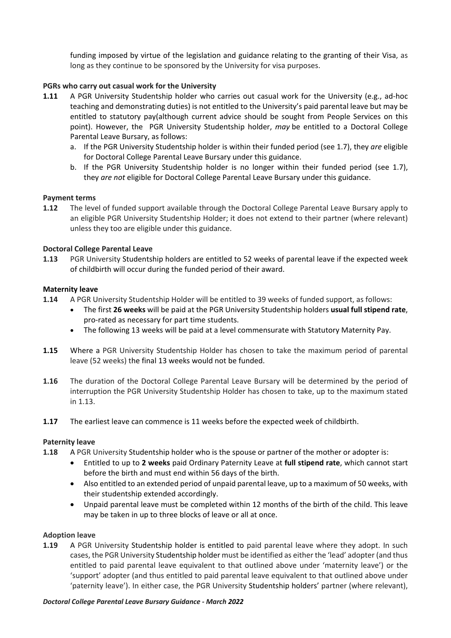funding imposed by virtue of the legislation and guidance relating to the granting of their Visa, as long as they continue to be sponsored by the University for visa purposes.

# **PGRs who carry out casual work for the University**

- **1.11** A PGR University Studentship holder who carries out casual work for the University (e.g., ad-hoc teaching and demonstrating duties) is not entitled to the University's paid parental leave but may be entitled to statutory pay(although current advice should be sought from People Services on this point). However, the PGR University Studentship holder, *may* be entitled to a Doctoral College Parental Leave Bursary, as follows:
	- a. If the PGR University Studentship holder is within their funded period (see 1.7), they *are* eligible for Doctoral College Parental Leave Bursary under this guidance.
	- b. If the PGR University Studentship holder is no longer within their funded period (see 1.7), they *are not* eligible for Doctoral College Parental Leave Bursary under this guidance.

## **Payment terms**

**1.12** The level of funded support available through the Doctoral College Parental Leave Bursary apply to an eligible PGR University Studentship Holder; it does not extend to their partner (where relevant) unless they too are eligible under this guidance.

## **Doctoral College Parental Leave**

**1.13** PGR University Studentship holders are entitled to 52 weeks of parental leave if the expected week of childbirth will occur during the funded period of their award.

## **Maternity leave**

- **1.14** A PGR University Studentship Holder will be entitled to 39 weeks of funded support, as follows:
	- The first **26 weeks** will be paid at the PGR University Studentship holders **usual full stipend rate**, pro-rated as necessary for part time students.
	- The following 13 weeks will be paid at a level commensurate with Statutory Maternity Pay.
- **1.15** Where a PGR University Studentship Holder has chosen to take the maximum period of parental leave (52 weeks) the final 13 weeks would not be funded.
- **1.16** The duration of the Doctoral College Parental Leave Bursary will be determined by the period of interruption the PGR University Studentship Holder has chosen to take, up to the maximum stated in 1.13.
- **1.17** The earliest leave can commence is 11 weeks before the expected week of childbirth.

#### **Paternity leave**

- **1.18** A PGR University Studentship holder who is the spouse or partner of the mother or adopter is:
	- Entitled to up to **2 weeks** paid Ordinary Paternity Leave at **full stipend rate**, which cannot start before the birth and must end within 56 days of the birth.
	- Also entitled to an extended period of unpaid parental leave, up to a maximum of 50 weeks, with their studentship extended accordingly.
	- Unpaid parental leave must be completed within 12 months of the birth of the child. This leave may be taken in up to three blocks of leave or all at once.

#### **Adoption leave**

**1.19** A PGR University Studentship holder is entitled to paid parental leave where they adopt. In such cases, the PGR University Studentship holder must be identified as either the 'lead' adopter (and thus entitled to paid parental leave equivalent to that outlined above under 'maternity leave') or the 'support' adopter (and thus entitled to paid parental leave equivalent to that outlined above under 'paternity leave'). In either case, the PGR University Studentship holders' partner (where relevant),

#### *Doctoral College Parental Leave Bursary Guidance - March 2022*